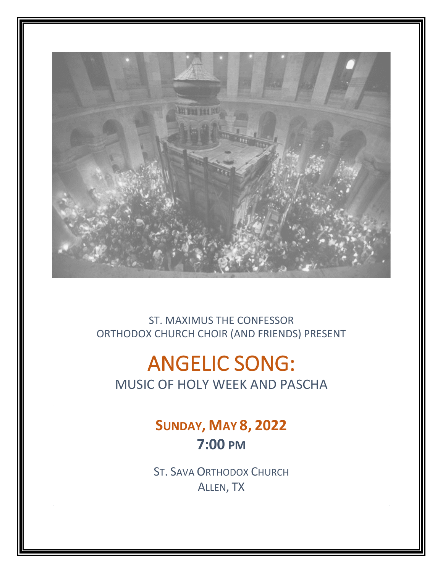

ST. MAXIMUS THE CONFESSOR ORTHODOX CHURCH CHOIR (AND FRIENDS) PRESENT

# ANGELIC SONG: MUSIC OF HOLY WEEK AND PASCHA

## **SUNDAY, MAY 8, 2022 7:00 PM**

ST. SAVA ORTHODOX CHURCH ALLEN, TX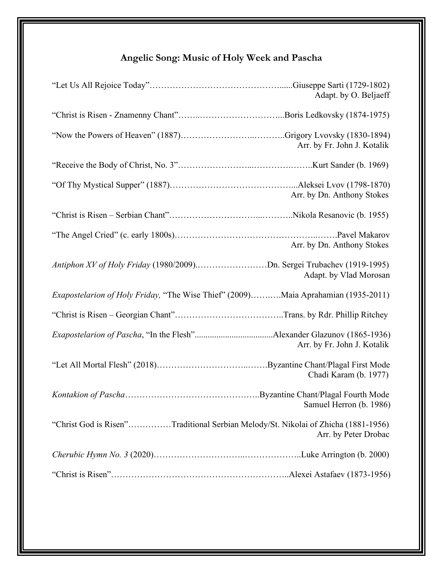### **Angelic Song: Music of Holy Week and Pascha**

| Adapt. by O. Beljaeff                                                                                     |
|-----------------------------------------------------------------------------------------------------------|
|                                                                                                           |
| Arr. by Fr. John J. Kotalik                                                                               |
|                                                                                                           |
| Arr. by Dn. Anthony Stokes                                                                                |
|                                                                                                           |
| Arr. by Dn. Anthony Stokes                                                                                |
| Antiphon XV of Holy Friday (1980/2009)Dn. Sergei Trubachev (1919-1995)<br>Adapt. by Vlad Morosan          |
| <i>Exapostelarion of Holy Friday</i> , "The Wise Thief" (2009)Maia Aprahamian (1935-2011)                 |
|                                                                                                           |
| Arr. by Fr. John J. Kotalik                                                                               |
| Chadi Karam (b. 1977)                                                                                     |
| Samuel Herron (b. 1986)                                                                                   |
| "Christ God is Risen"Traditional Serbian Melody/St. Nikolai of Zhicha (1881-1956)<br>Arr. by Peter Drobac |
|                                                                                                           |
|                                                                                                           |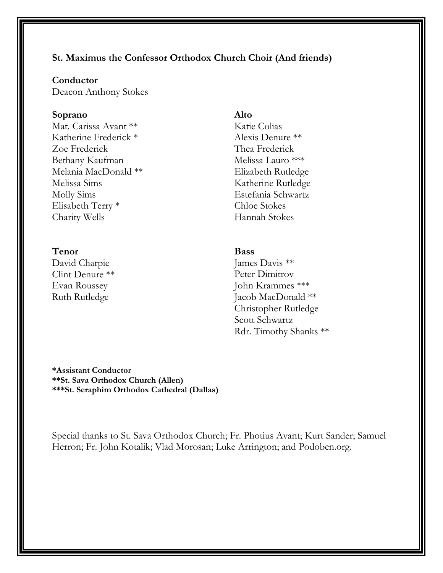#### **St. Maximus the Confessor Orthodox Church Choir (And friends)**

#### **Conductor**

Deacon Anthony Stokes

#### **Soprano**

Mat. Carissa Avant \*\* Katherine Frederick \* Zoe Frederick Bethany Kaufman Melania MacDonald \*\* Melissa Sims Molly Sims Elisabeth Terry \* Charity Wells

#### **Tenor**

David Charpie Clint Denure \*\* Evan Roussey Ruth Rutledge

#### **Alto**

Katie Colias Alexis Denure \*\* Thea Frederick Melissa Lauro \*\*\* Elizabeth Rutledge Katherine Rutledge Estefania Schwartz Chloe Stokes Hannah Stokes

#### **Bass**

James Davis \*\* Peter Dimitrov John Krammes \*\*\* Jacob MacDonald \*\* Christopher Rutledge Scott Schwartz Rdr. Timothy Shanks \*\*

**\*Assistant Conductor \*\*St. Sava Orthodox Church (Allen) \*\*\*St. Seraphim Orthodox Cathedral (Dallas)**

Special thanks to St. Sava Orthodox Church; Fr. Photius Avant; Kurt Sander; Samuel Herron; Fr. John Kotalik; Vlad Morosan; Luke Arrington; and Podoben.org.